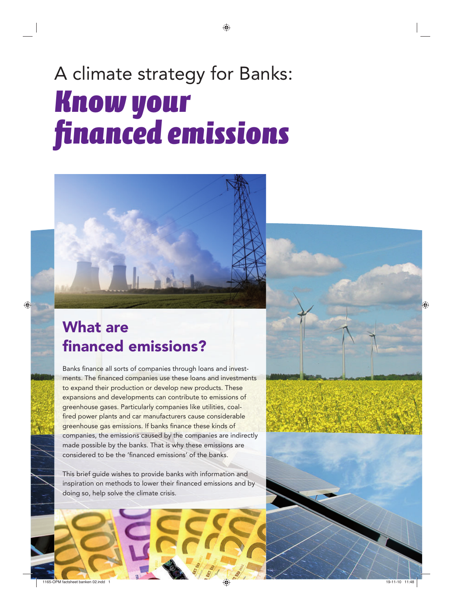# A climate strategy for Banks: *Know your fi nanced emissions*

## What are financed emissions?

Banks finance all sorts of companies through loans and investments. The financed companies use these loans and investments to expand their production or develop new products. These expansions and developments can contribute to emissions of greenhouse gases. Particularly companies like utilities, coalfired power plants and car manufacturers cause considerable greenhouse gas emissions. If banks finance these kinds of companies, the emissions caused by the companies are indirectly made possible by the banks. That is why these emissions are considered to be the 'financed emissions' of the banks.

This brief guide wishes to provide banks with information and inspiration on methods to lower their financed emissions and by doing so, help solve the climate crisis.